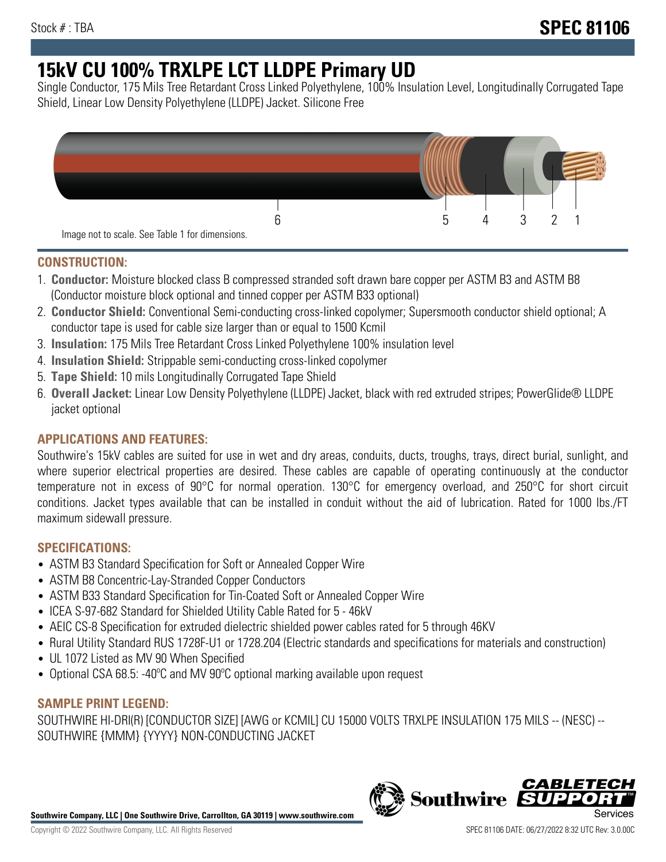# **15kV CU 100% TRXLPE LCT LLDPE Primary UD**

Single Conductor, 175 Mils Tree Retardant Cross Linked Polyethylene, 100% Insulation Level, Longitudinally Corrugated Tape Shield, Linear Low Density Polyethylene (LLDPE) Jacket. Silicone Free



## **CONSTRUCTION:**

- 1. **Conductor:** Moisture blocked class B compressed stranded soft drawn bare copper per ASTM B3 and ASTM B8 (Conductor moisture block optional and tinned copper per ASTM B33 optional)
- 2. **Conductor Shield:** Conventional Semi-conducting cross-linked copolymer; Supersmooth conductor shield optional; A conductor tape is used for cable size larger than or equal to 1500 Kcmil
- 3. **Insulation:** 175 Mils Tree Retardant Cross Linked Polyethylene 100% insulation level
- 4. **Insulation Shield:** Strippable semi-conducting cross-linked copolymer
- 5. **Tape Shield:** 10 mils Longitudinally Corrugated Tape Shield
- 6. **Overall Jacket:** Linear Low Density Polyethylene (LLDPE) Jacket, black with red extruded stripes; PowerGlide® LLDPE jacket optional

# **APPLICATIONS AND FEATURES:**

Southwire's 15kV cables are suited for use in wet and dry areas, conduits, ducts, troughs, trays, direct burial, sunlight, and where superior electrical properties are desired. These cables are capable of operating continuously at the conductor temperature not in excess of 90°C for normal operation. 130°C for emergency overload, and 250°C for short circuit conditions. Jacket types available that can be installed in conduit without the aid of lubrication. Rated for 1000 lbs./FT maximum sidewall pressure.

# **SPECIFICATIONS:**

- ASTM B3 Standard Specification for Soft or Annealed Copper Wire
- ASTM B8 Concentric-Lay-Stranded Copper Conductors
- ASTM B33 Standard Specification for Tin-Coated Soft or Annealed Copper Wire
- ICEA S-97-682 Standard for Shielded Utility Cable Rated for 5 46kV
- AEIC CS-8 Specification for extruded dielectric shielded power cables rated for 5 through 46KV
- Rural Utility Standard RUS 1728F-U1 or 1728.204 (Electric standards and specifications for materials and construction)
- UL 1072 Listed as MV 90 When Specified
- Optional CSA 68.5: -40ºC and MV 90ºC optional marking available upon request

# **SAMPLE PRINT LEGEND:**

SOUTHWIRE HI-DRI(R) [CONDUCTOR SIZE] [AWG or KCMIL] CU 15000 VOLTS TRXLPE INSULATION 175 MILS -- (NESC) -- SOUTHWIRE {MMM} {YYYY} NON-CONDUCTING JACKET

**Southwire Company, LLC | One Southwire Drive, Carrollton, GA 30119 | www.southwire.com**